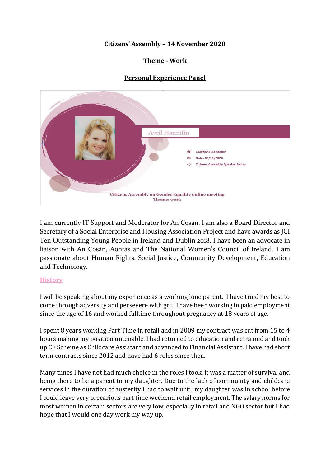## **Citizens' Assembly – 14 November 2020**

### **Theme - Work**

# **Personal Experience Panel**



I am currently IT Support and Moderator for An Cosán. I am also a Board Director and Secretary of a Social Enterprise and Housing Association Project and have awards as JCI Ten Outstanding Young People in Ireland and Dublin 2018. I have been an advocate in liaison with An Cosán, Aontas and The National Women's Council of Ireland. I am passionate about Human Rights, Social Justice, Community Development, Education and Technology.

### **History**

I will be speaking about my experience as a working lone parent. I have tried my best to come through adversity and persevere with grit. I have been working in paid employment since the age of 16 and worked fulltime throughout pregnancy at 18 years of age.

I spent 8 years working Part Time in retail and in 2009 my contract was cut from 15 to 4 hours making my position untenable. I had returned to education and retrained and took up CE Scheme as Childcare Assistant and advanced to Financial Assistant. I have had short term contracts since 2012 and have had 6 roles since then.

Many times I have not had much choice in the roles I took, it was a matter of survival and being there to be a parent to my daughter. Due to the lack of community and childcare services in the duration of austerity I had to wait until my daughter was in school before I could leave very precarious part time weekend retail employment. The salary norms for most women in certain sectors are very low, especially in retail and NGO sector but I had hope that I would one day work my way up.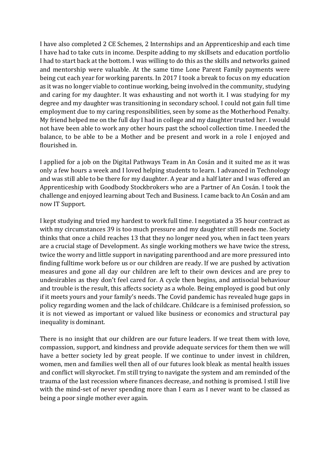I have also completed 2 CE Schemes, 2 Internships and an Apprenticeship and each time I have had to take cuts in income. Despite adding to my skillsets and education portfolio I had to start back at the bottom. I was willing to do this as the skills and networks gained and mentorship were valuable. At the same time Lone Parent Family payments were being cut each year for working parents. In 2017 I took a break to focus on my education as it was no longer viable to continue working, being involved in the community, studying and caring for my daughter. It was exhausting and not worth it. I was studying for my degree and my daughter was transitioning in secondary school. I could not gain full time employment due to my caring responsibilities, seen by some as the Motherhood Penalty. My friend helped me on the full day I had in college and my daughter trusted her. I would not have been able to work any other hours past the school collection time. I needed the balance, to be able to be a Mother and be present and work in a role I enjoyed and flourished in.

I applied for a job on the Digital Pathways Team in An Cosán and it suited me as it was only a few hours a week and I loved helping students to learn. I advanced in Technology and was still able to be there for my daughter. A year and a half later and I was offered an Apprenticeship with Goodbody Stockbrokers who are a Partner of An Cosán. I took the challenge and enjoyed learning about Tech and Business. I came back to An Cosán and am now IT Support.

I kept studying and tried my hardest to work full time. I negotiated a 35 hour contract as with my circumstances 39 is too much pressure and my daughter still needs me. Society thinks that once a child reaches 13 that they no longer need you, when in fact teen years are a crucial stage of Development. As single working mothers we have twice the stress, twice the worry and little support in navigating parenthood and are more pressured into finding fulltime work before us or our children are ready. If we are pushed by activation measures and gone all day our children are left to their own devices and are prey to undesirables as they don't feel cared for. A cycle then begins, and antisocial behaviour and trouble is the result, this affects society as a whole. Being employed is good but only if it meets yours and your family's needs. The Covid pandemic has revealed huge gaps in policy regarding women and the lack of childcare. Childcare is a feminised profession, so it is not viewed as important or valued like business or economics and structural pay inequality is dominant.

There is no insight that our children are our future leaders. If we treat them with love, compassion, support, and kindness and provide adequate services for them then we will have a better society led by great people. If we continue to under invest in children, women, men and families well then all of our futures look bleak as mental health issues and conflict will skyrocket. I'm still trying to navigate the system and am reminded of the trauma of the last recession where finances decrease, and nothing is promised. I still live with the mind-set of never spending more than I earn as I never want to be classed as being a poor single mother ever again.